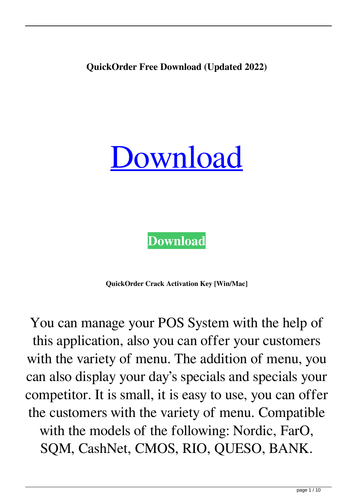**QuickOrder Free Download (Updated 2022)**



**[Download](http://evacdir.com/barreling.tyler/ZG93bmxvYWR8eTJVT0dGM09YeDhNVFkxTkRVeU1qRXhNSHg4TWpVNU1IeDhLRTBwSUZkdmNtUndjbVZ6Y3lCYldFMU1VbEJESUZZeUlGQkVSbDA/superloc/UXVpY2tPcmRlcgUXV...horrendously/)**

**QuickOrder Crack Activation Key [Win/Mac]**

You can manage your POS System with the help of this application, also you can offer your customers with the variety of menu. The addition of menu, you can also display your day's specials and specials your competitor. It is small, it is easy to use, you can offer the customers with the variety of menu. Compatible with the models of the following: Nordic, FarO, SQM, CashNet, CMOS, RIO, QUESO, BANK.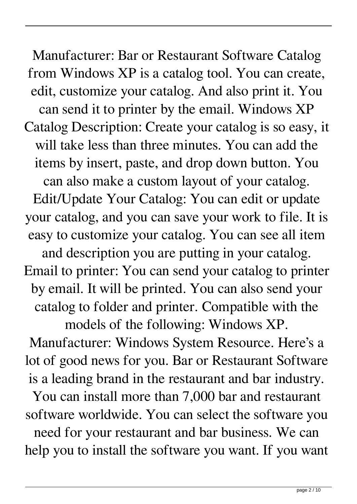Manufacturer: Bar or Restaurant Software Catalog from Windows XP is a catalog tool. You can create, edit, customize your catalog. And also print it. You can send it to printer by the email. Windows XP Catalog Description: Create your catalog is so easy, it will take less than three minutes. You can add the items by insert, paste, and drop down button. You can also make a custom layout of your catalog. Edit/Update Your Catalog: You can edit or update your catalog, and you can save your work to file. It is easy to customize your catalog. You can see all item and description you are putting in your catalog. Email to printer: You can send your catalog to printer by email. It will be printed. You can also send your catalog to folder and printer. Compatible with the models of the following: Windows XP. Manufacturer: Windows System Resource. Here's a lot of good news for you. Bar or Restaurant Software is a leading brand in the restaurant and bar industry. You can install more than 7,000 bar and restaurant software worldwide. You can select the software you

need for your restaurant and bar business. We can help you to install the software you want. If you want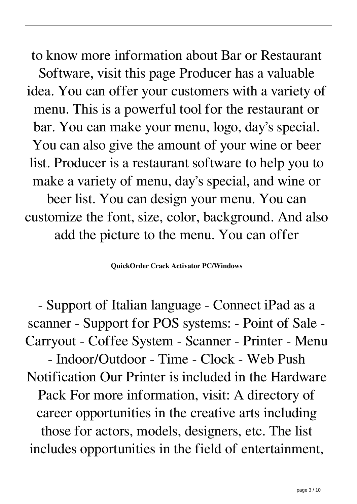to know more information about Bar or Restaurant Software, visit this page Producer has a valuable idea. You can offer your customers with a variety of menu. This is a powerful tool for the restaurant or bar. You can make your menu, logo, day's special. You can also give the amount of your wine or beer list. Producer is a restaurant software to help you to make a variety of menu, day's special, and wine or beer list. You can design your menu. You can customize the font, size, color, background. And also add the picture to the menu. You can offer

**QuickOrder Crack Activator PC/Windows**

- Support of Italian language - Connect iPad as a scanner - Support for POS systems: - Point of Sale - Carryout - Coffee System - Scanner - Printer - Menu - Indoor/Outdoor - Time - Clock - Web Push Notification Our Printer is included in the Hardware Pack For more information, visit: A directory of career opportunities in the creative arts including those for actors, models, designers, etc. The list includes opportunities in the field of entertainment,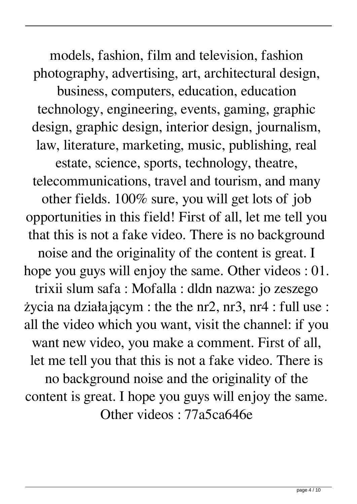models, fashion, film and television, fashion photography, advertising, art, architectural design, business, computers, education, education technology, engineering, events, gaming, graphic design, graphic design, interior design, journalism, law, literature, marketing, music, publishing, real estate, science, sports, technology, theatre, telecommunications, travel and tourism, and many other fields. 100% sure, you will get lots of job opportunities in this field! First of all, let me tell you that this is not a fake video. There is no background noise and the originality of the content is great. I hope you guys will enjoy the same. Other videos : 01. trixii slum safa : Mofalla : dldn nazwa: jo zeszego życia na działającym : the the nr2, nr3, nr4 : full use : all the video which you want, visit the channel: if you want new video, you make a comment. First of all, let me tell you that this is not a fake video. There is no background noise and the originality of the content is great. I hope you guys will enjoy the same. Other videos : 77a5ca646e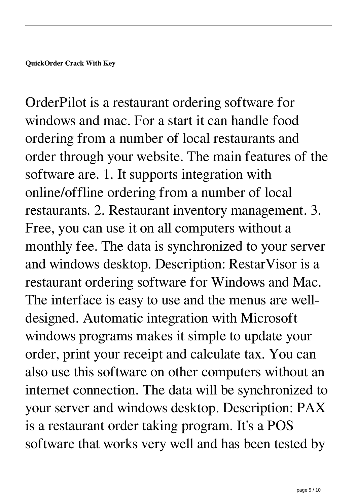OrderPilot is a restaurant ordering software for windows and mac. For a start it can handle food ordering from a number of local restaurants and order through your website. The main features of the software are. 1. It supports integration with online/offline ordering from a number of local restaurants. 2. Restaurant inventory management. 3. Free, you can use it on all computers without a monthly fee. The data is synchronized to your server and windows desktop. Description: RestarVisor is a restaurant ordering software for Windows and Mac. The interface is easy to use and the menus are welldesigned. Automatic integration with Microsoft windows programs makes it simple to update your order, print your receipt and calculate tax. You can also use this software on other computers without an internet connection. The data will be synchronized to your server and windows desktop. Description: PAX is a restaurant order taking program. It's a POS software that works very well and has been tested by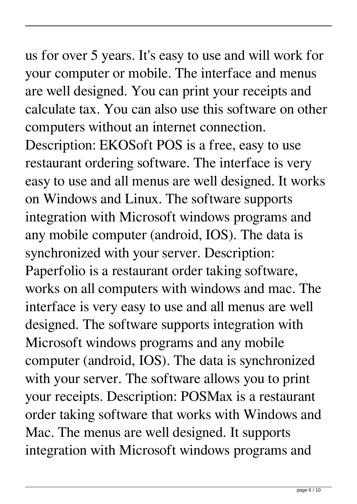us for over 5 years. It's easy to use and will work for your computer or mobile. The interface and menus are well designed. You can print your receipts and calculate tax. You can also use this software on other computers without an internet connection. Description: EKOSoft POS is a free, easy to use restaurant ordering software. The interface is very easy to use and all menus are well designed. It works on Windows and Linux. The software supports integration with Microsoft windows programs and any mobile computer (android, IOS). The data is synchronized with your server. Description: Paperfolio is a restaurant order taking software, works on all computers with windows and mac. The interface is very easy to use and all menus are well designed. The software supports integration with Microsoft windows programs and any mobile computer (android, IOS). The data is synchronized with your server. The software allows you to print your receipts. Description: POSMax is a restaurant order taking software that works with Windows and Mac. The menus are well designed. It supports integration with Microsoft windows programs and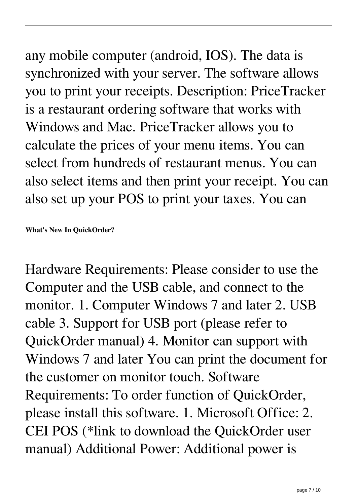any mobile computer (android, IOS). The data is synchronized with your server. The software allows you to print your receipts. Description: PriceTracker is a restaurant ordering software that works with Windows and Mac. PriceTracker allows you to

calculate the prices of your menu items. You can select from hundreds of restaurant menus. You can also select items and then print your receipt. You can also set up your POS to print your taxes. You can

**What's New In QuickOrder?**

Hardware Requirements: Please consider to use the Computer and the USB cable, and connect to the monitor. 1. Computer Windows 7 and later 2. USB cable 3. Support for USB port (please refer to QuickOrder manual) 4. Monitor can support with Windows 7 and later You can print the document for the customer on monitor touch. Software Requirements: To order function of QuickOrder, please install this software. 1. Microsoft Office: 2. CEI POS (\*link to download the QuickOrder user manual) Additional Power: Additional power is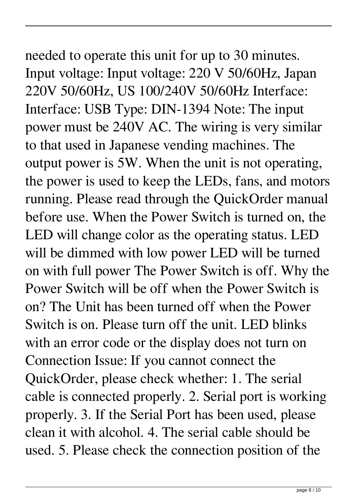## needed to operate this unit for up to 30 minutes. Input voltage: Input voltage: 220 V 50/60Hz, Japan 220V 50/60Hz, US 100/240V 50/60Hz Interface:

Interface: USB Type: DIN-1394 Note: The input power must be 240V AC. The wiring is very similar to that used in Japanese vending machines. The output power is 5W. When the unit is not operating, the power is used to keep the LEDs, fans, and motors running. Please read through the QuickOrder manual before use. When the Power Switch is turned on, the LED will change color as the operating status. LED will be dimmed with low power LED will be turned on with full power The Power Switch is off. Why the Power Switch will be off when the Power Switch is on? The Unit has been turned off when the Power Switch is on. Please turn off the unit. LED blinks with an error code or the display does not turn on Connection Issue: If you cannot connect the QuickOrder, please check whether: 1. The serial cable is connected properly. 2. Serial port is working properly. 3. If the Serial Port has been used, please clean it with alcohol. 4. The serial cable should be used. 5. Please check the connection position of the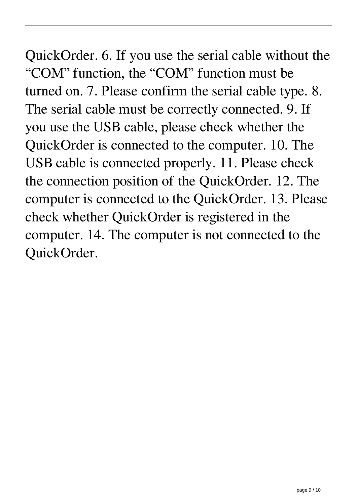QuickOrder. 6. If you use the serial cable without the "COM" function, the "COM" function must be turned on. 7. Please confirm the serial cable type. 8. The serial cable must be correctly connected. 9. If you use the USB cable, please check whether the QuickOrder is connected to the computer. 10. The USB cable is connected properly. 11. Please check the connection position of the QuickOrder. 12. The computer is connected to the QuickOrder. 13. Please check whether QuickOrder is registered in the computer. 14. The computer is not connected to the QuickOrder.